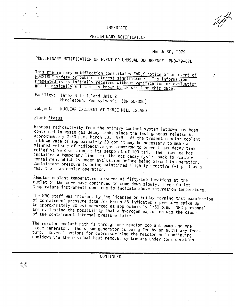## IMMEDIATE

## PRELIMINARY NOTIFICATION

March 30, 1979

PRELIMINARY NOTIFICATION OF EVENT OR UNUSUAL OCCURRENCE--PNO-79-67D

This preliminary notification constitutes EARLY notice of an event of POSSIBLE safety or public interest significance. The information presented is as initially received without verification or evaluation and is basically all that is known by IE staff on this date.

Facility: Three Mile Island Unit 2 Middletown, Pennsylvania (ON 50-320)

Subject: NUCLEAR INCIDENT AT THREE MILE ISLAND

## Plant Status

 $\ldots$ 

Gaseous radioactivity from the primary coolant system letdown has been contained in waste gas decay tanks since the last gaseous release at approximately 2:50 p.m. March 30, 1979. At the present reactor coolant letdown rate of approximately 20 gpm it may be necessary to make a planned release of radioactive gas tomorrow to prevent gas decay tank relief valve operation at its setpoint of 100 psi. The licensee has installed a temporary line from the gas decay system back to reactor containment which is under evaluation before being placed in operation. Containment pressure is being maintained slightly negative (-1 psi) as a result of fan cooler operation.

Reactor coolant temperature measured at fifty-two locations at the outlet of the core have continued to come down slowly. Three 6utlet temperature instruments continue to indicate above saturation temperature.

The NRC staff was informed by the licensee on Friday morning that examination of containment pressure data for March 28 indicates a pressure spike up to approximately 30 psi occurred at approximately 1:50 p.m. NRC personnel are evaluating the possibility that a hydrogen explosion was the cause of the containment internal pressure spike.

The reactor coolant path is through one reactor coolant pump and one steam generator. The steam generator is being fed by an auxiliary feedpump. Several options for depressurizing the reactor and continuing cooldown via the residual heat removal system are under consideration.

CONTINUED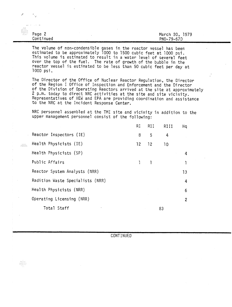| .<br> |                       |                              |
|-------|-----------------------|------------------------------|
| .     | $Page$ 2<br>Continued | March 30, 1979<br>PN0-79-67D |

Ē

 $\frac{1}{2}$ 

en

The volume of non-condensible gases in the reactor vessel has been estimated to be approximately 1000 to 1500 cubic feet at 1000 psi. This volume is estimated to result in a water level of several feet over the top of the fuel. The rate of growth of the bubble in the reactor vessel is estimated to be less than 50 cubic feet per day at 1000 psi.

The Director of the Office of Nuclear Reactor Regulation, the Director of the Region I Office of Inspection and Enforcement and the Director of the Division of Operating Reactors arrived at the site at approximately 2 p.m. today to direct NRC activities at the site and site vicinity. Representatives of HEW and EPA are providing coordination and assistance to the NRC at the Incident Response Center.

NRC personnel assembled at the TMI site and vicinity in addition to the upper management personnel consist of the following:

|                                  | RI | RII. | RIII | Hq             |
|----------------------------------|----|------|------|----------------|
| Reactor Inspectors (IE)          | 8  | 5    | 4    |                |
| Health Physicists (IE)           | 12 | 12   | 10   |                |
| Health Physicists (SP)           |    |      |      | 4              |
| Public Affairs                   |    |      |      | ı              |
| Reactor System Analysts (NRR)    |    |      |      | 13             |
| Radition Waste Specialists (NRR) |    |      |      | 4              |
| Health Physicists (NRR)          |    |      |      | 6              |
| Operating Licensing (NRR)        |    |      |      | $\overline{c}$ |
| Total Staff                      |    |      | 83   |                |

**CONTINUED**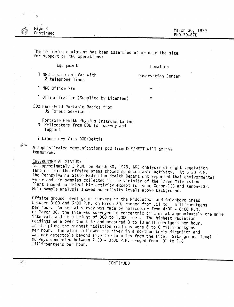| ria -<br>Page 3<br>.<br>.<br>ili a<br>Continued<br>in an | March 30, 1979<br>PN0-79-67D |
|----------------------------------------------------------|------------------------------|

The following equipment has been assembled at or near the site for support of NRC operations:

Equipment

Location

1 NRC Instrument Van with 2 telephone lines

Observation Center

 $\mathbf{u}$ 

 $\mathbf{H}$ 

NRC Office Van

JÆ.

<u>Am</u>

- 1 Office Trailer (Supplied by Licensee)
- 200 Hand-Held Portable Radios from US Forest Service
	- Portable Health Physics Instrumentation 3 Helicopters from DOE for survey and support
	- 2 Laboratory Vans DOE/Bettis

A sophisticated communications pod from DOE/NEST will arrive tommorrow.

## ENVIRONMENTAL STATUS:

At approximately 3 P.M. on March 30, 1979, NRC analysis of eight vegetation samples from the offsite areas showed no detectable activity. At 5.30 P.M. the Pennsylvania State Radiation Health Department reported that environmental water and air samples collected in the vicinity of the Three Mile Island Plant showed no detectable activity except for some Xenon-133 and Xenon-135. Milk sample analysis showed no activity levels above background.

Offsite ground level gamma surveys in the Middletown and Goldsboro areas between 3:00 and 6:00 P.M. on March 30, ranged from .01 to 1 milliroentgens per hour. An aerial survey was made by helicopter from 4:00 - 6:00 P.M. on March 30, the site was surveyed in concentric circles at approximately one mile intervals and at a height of 300 to 1,000 feet. The highest radiation readings were over the site and measured 8 to 10 milliroentgens per hour. In the plume the highest radiation readings were 6 to 8 milliroentgens per hour. The plume followed the river in a northwesterly direction and was not detectable beyond five to six miles from the site. Site ground level surveys-conducted between 7:30 - 8:00 P.M. ranged from .01 to 1.8 milliroentgens per hour.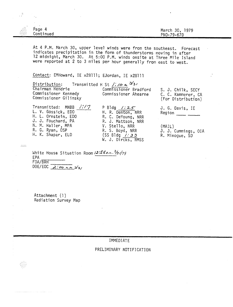| <b>Sec.</b>        |               |   |                                                     |
|--------------------|---------------|---|-----------------------------------------------------|
| $\mathbb{R}^m$<br> | Page<br>Δ     |   | <b>070</b><br>March                                 |
| .                  |               |   | $\sim$<br>.                                         |
| <b><i></i></b><br> | Cont'<br>nued |   | PNO-<br>$\sim$ $\sim$ $\sim$<br>$79 - 6.$<br>ь<br>- |
|                    |               | . |                                                     |

At 4 P.M. March 30, upper level winds were from the southeast. Forecast indicates precipitation in the form of thunderstorms moving in after 12 midnight, March 30. At 5:00 P.M. winds onsite at Three Mile Island were reported at 2 to 3 miles per hour generally from east to west.

Contact: EMHoward, IE x28111; EJordan, IE x28111

Distribution: Transmitted H St /: */0 ~ Jl31* **Chairman Hendrie** Commissioner Bradford<br>
Commissioner Kennedy Commissioner Ahearne Commissioner Ahearne Commissioner Gilinsky Transmitted: MNBB *1:11* L. v. Gossick, EDO H. L. Ornstein, EDO J. J. Fouchard, PA N. M. Haller, MPA P Bldg *I: :2..S* H. R. Denton, NRR R. C. DeYoung, NRR R. J. Mattson, NRR V. Stello, NRR S. J. Chilk, SECY C. C. Kammerer, CA (For Distribution) J. G. Davis, IE  $Region$   $\_\_$ (MAIL)

R. G. Ryan, OSP H. K. Shapar, ELD

 $\mathbb{R}^n$ 

 $\frac{1}{2}$ 

R. S. Boyd, NRR (SS Bldg <u>//33</u> W. J. Dircks, NMSS

J. J. Cummings, OIA R. Minogue, SO

White House Situati on Room *1;,'5~a.•.•...%;j7~* ---- FDA/BRH \_ EPA<br>FDA/BRH DOE/EOC <u>2:00 a.m</u>  $3/3/$ 

Attachment (1) Radiation Survey Map

IMMEDIATE

PRELIMINARY NOTIFICATION